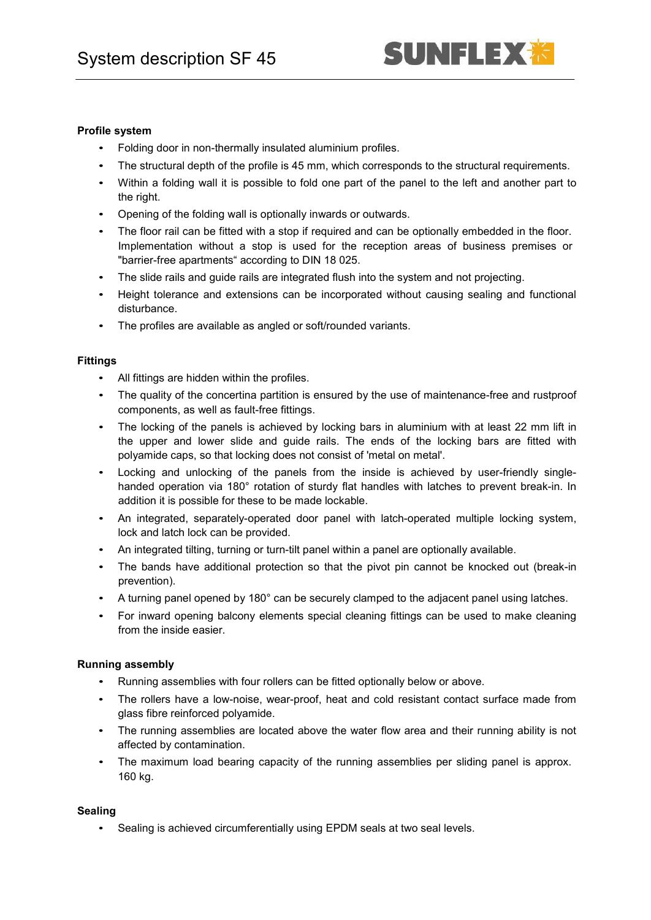#### **Profile system**

- Folding door in non-thermally insulated aluminium profiles.
- The structural depth of the profile is 45 mm, which corresponds to the structural requirements.
- Within a folding wall it is possible to fold one part of the panel to the left and another part to the right.
- Opening of the folding wall is optionally inwards or outwards.
- The floor rail can be fitted with a stop if required and can be optionally embedded in the floor. Implementation without a stop is used for the reception areas of business premises or "barrier-free apartments" according to DIN 18 025.
- The slide rails and guide rails are integrated flush into the system and not projecting.
- Height tolerance and extensions can be incorporated without causing sealing and functional disturbance.
- The profiles are available as angled or soft/rounded variants.

### **Fittings**

- All fittings are hidden within the profiles.
- The quality of the concertina partition is ensured by the use of maintenance-free and rustproof components, as well as fault-free fittings.
- The locking of the panels is achieved by locking bars in aluminium with at least 22 mm lift in the upper and lower slide and guide rails. The ends of the locking bars are fitted with polyamide caps, so that locking does not consist of 'metal on metal'.
- Locking and unlocking of the panels from the inside is achieved by user-friendly singlehanded operation via 180° rotation of sturdy flat handles with latches to prevent break-in. In addition it is possible for these to be made lockable.
- An integrated, separately-operated door panel with latch-operated multiple locking system, lock and latch lock can be provided.
- An integrated tilting, turning or turn-tilt panel within a panel are optionally available.
- The bands have additional protection so that the pivot pin cannot be knocked out (break-in prevention).
- A turning panel opened by 180° can be securely clamped to the adjacent panel using latches.
- For inward opening balcony elements special cleaning fittings can be used to make cleaning from the inside easier.

# **Running assembly**

- Running assemblies with four rollers can be fitted optionally below or above.
- The rollers have a low-noise, wear-proof, heat and cold resistant contact surface made from glass fibre reinforced polyamide.
- The running assemblies are located above the water flow area and their running ability is not affected by contamination.
- The maximum load bearing capacity of the running assemblies per sliding panel is approx. 160 kg.

# **Sealing**

• Sealing is achieved circumferentially using EPDM seals at two seal levels.